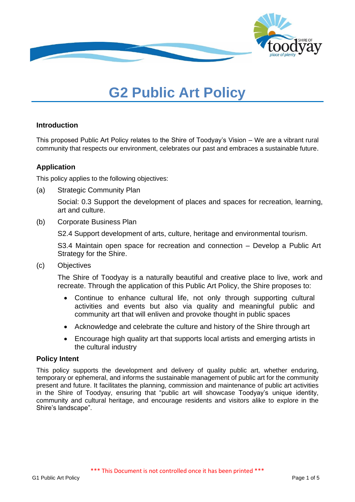

# **G2 Public Art Policy**

## **Introduction**

This proposed Public Art Policy relates to the Shire of Toodyay's Vision – We are a vibrant rural community that respects our environment, celebrates our past and embraces a sustainable future.

## **Application**

This policy applies to the following objectives:

(a) Strategic Community Plan

Social: 0.3 Support the development of places and spaces for recreation, learning, art and culture.

(b) Corporate Business Plan

S2.4 Support development of arts, culture, heritage and environmental tourism.

S3.4 Maintain open space for recreation and connection – Develop a Public Art Strategy for the Shire.

(c) Objectives

The Shire of Toodyay is a naturally beautiful and creative place to live, work and recreate. Through the application of this Public Art Policy, the Shire proposes to:

- Continue to enhance cultural life, not only through supporting cultural activities and events but also via quality and meaningful public and community art that will enliven and provoke thought in public spaces
- Acknowledge and celebrate the culture and history of the Shire through art
- Encourage high quality art that supports local artists and emerging artists in the cultural industry

## **Policy Intent**

This policy supports the development and delivery of quality public art, whether enduring, temporary or ephemeral, and informs the sustainable management of public art for the community present and future. It facilitates the planning, commission and maintenance of public art activities in the Shire of Toodyay, ensuring that "public art will showcase Toodyay's unique identity, community and cultural heritage, and encourage residents and visitors alike to explore in the Shire's landscape".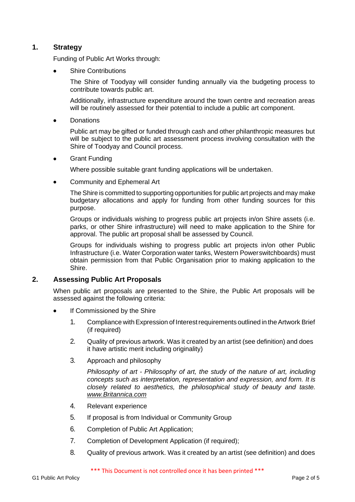## **1. Strategy**

Funding of Public Art Works through:

• Shire Contributions

The Shire of Toodyay will consider funding annually via the budgeting process to contribute towards public art.

Additionally, infrastructure expenditure around the town centre and recreation areas will be routinely assessed for their potential to include a public art component.

• Donations

Public art may be gifted or funded through cash and other philanthropic measures but will be subject to the public art assessment process involving consultation with the Shire of Toodyay and Council process.

• Grant Funding

Where possible suitable grant funding applications will be undertaken.

• Community and Ephemeral Art

The Shire is committed to supporting opportunities for public art projects and may make budgetary allocations and apply for funding from other funding sources for this purpose.

Groups or individuals wishing to progress public art projects in/on Shire assets (i.e. parks, or other Shire infrastructure) will need to make application to the Shire for approval. The public art proposal shall be assessed by Council.

Groups for individuals wishing to progress public art projects in/on other Public Infrastructure (i.e. Water Corporation water tanks, Western Powerswitchboards) must obtain permission from that Public Organisation prior to making application to the Shire.

#### **2. Assessing Public Art Proposals**

When public art proposals are presented to the Shire, the Public Art proposals will be assessed against the following criteria:

- If Commissioned by the Shire
	- 1. Compliance with Expression of Interest requirements outlined in the Artwork Brief (if required)
	- 2. Quality of previous artwork. Was it created by an artist (see definition) and does it have artistic merit including originality)
	- 3. Approach and philosophy

*Philosophy of art - Philosophy of art, the study of the nature of art, including concepts such as interpretation, representation and expression, and form. It is closely related to aesthetics, the philosophical study of beauty and taste. [www.Britannica.com](http://www.britannica.com/)*

- 4. Relevant experience
- 5. If proposal is from Individual or Community Group
- 6. Completion of Public Art Application;
- 7. Completion of Development Application (if required);
- 8. Quality of previous artwork. Was it created by an artist (see definition) and does

\*\*\* This Document is not controlled once it has been printed \*\*\*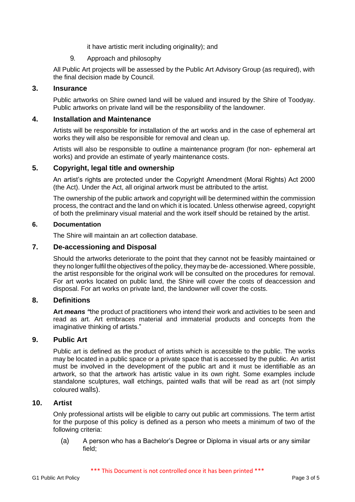it have artistic merit including originality); and

9. Approach and philosophy

All Public Art projects will be assessed by the Public Art Advisory Group (as required), with the final decision made by Council.

#### **3. Insurance**

Public artworks on Shire owned land will be valued and insured by the Shire of Toodyay. Public artworks on private land will be the responsibility of the landowner.

#### **4. Installation and Maintenance**

Artists will be responsible for installation of the art works and in the case of ephemeral art works they will also be responsible for removal and clean up.

Artists will also be responsible to outline a maintenance program (for non- ephemeral art works) and provide an estimate of yearly maintenance costs.

#### **5. Copyright, legal title and ownership**

An artist's rights are protected under the Copyright Amendment (Moral Rights) Act 2000 (the Act). Under the Act, all original artwork must be attributed to the artist.

The ownership of the public artwork and copyright will be determined within the commission process, the contract and the land on which it is located. Unless otherwise agreed, copyright of both the preliminary visual material and the work itself should be retained by the artist.

#### **6. Documentation**

The Shire will maintain an art collection database.

#### **7. De-accessioning and Disposal**

Should the artworks deteriorate to the point that they cannot not be feasibly maintained or they no longer fulfil the objectives of the policy, they may be de-accessioned. Where possible, the artist responsible for the original work will be consulted on the procedures for removal. For art works located on public land, the Shire will cover the costs of deaccession and disposal. For art works on private land, the landowner will cover the costs.

#### **8. Definitions**

**Art** *means "*the product of practitioners who intend their work and activities to be seen and read as art. Art embraces material and immaterial products and concepts from the imaginative thinking of artists."

#### **9. Public Art**

Public art is defined as the product of artists which is accessible to the public. The works may be located in a public space or a private space that is accessed by the public. An artist must be involved in the development of the public art and it must be identifiable as an artwork, so that the artwork has artistic value in its own right. Some examples include standalone sculptures, wall etchings, painted walls that will be read as art (not simply coloured walls).

#### **10. Artist**

Only professional artists will be eligible to carry out public art commissions. The term artist for the purpose of this policy is defined as a person who meets a minimum of two of the following criteria:

(a) A person who has a Bachelor's Degree or Diploma in visual arts or any similar field;

\*\*\* This Document is not controlled once it has been printed \*\*\*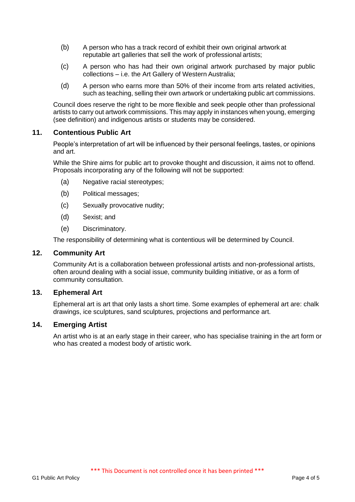- (b) A person who has a track record of exhibit their own original artwork at reputable art galleries that sell the work of professional artists;
- (c) A person who has had their own original artwork purchased by major public collections – i.e. the Art Gallery of Western Australia;
- (d) A person who earns more than 50% of their income from arts related activities, such as teaching, selling their own artwork or undertaking public art commissions.

Council does reserve the right to be more flexible and seek people other than professional artists to carry out artwork commissions. This may apply in instances when young, emerging (see definition) and indigenous artists or students may be considered.

### **11. Contentious Public Art**

People's interpretation of art will be influenced by their personal feelings, tastes, or opinions and art.

While the Shire aims for public art to provoke thought and discussion, it aims not to offend. Proposals incorporating any of the following will not be supported:

- (a) Negative racial stereotypes;
- (b) Political messages;
- (c) Sexually provocative nudity;
- (d) Sexist; and
- (e) Discriminatory.

The responsibility of determining what is contentious will be determined by Council.

#### **12. Community Art**

Community Art is a collaboration between professional artists and non-professional artists, often around dealing with a social issue, community building initiative, or as a form of community consultation.

#### **13. Ephemeral Art**

Ephemeral art is art that only lasts a short time. Some examples of ephemeral art are: chalk drawings, ice sculptures, sand sculptures, projections and performance art.

## **14. Emerging Artist**

An artist who is at an early stage in their career, who has specialise training in the art form or who has created a modest body of artistic work.